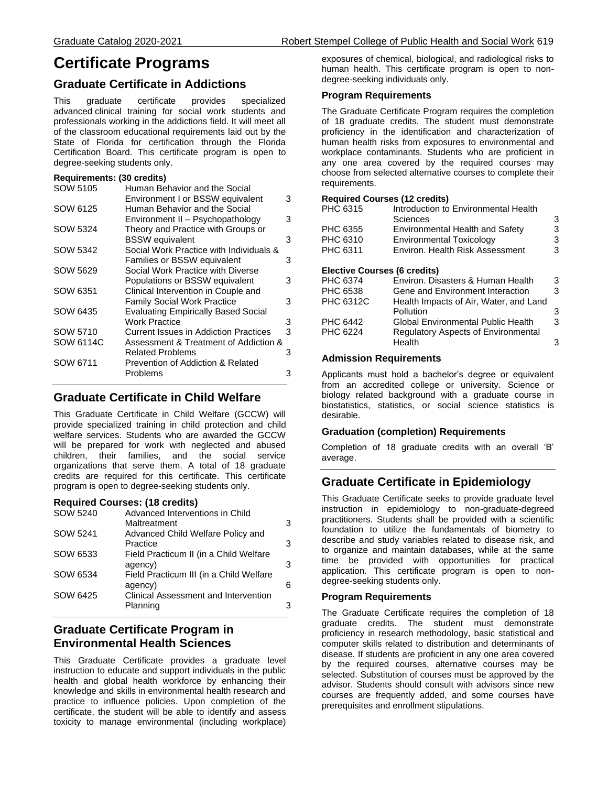# **Certificate Programs**

# **Graduate Certificate in Addictions**

This graduate certificate provides specialized advanced clinical training for social work students and professionals working in the addictions field. It will meet all of the classroom educational requirements laid out by the State of Florida for certification through the Florida Certification Board. This certificate program is open to degree-seeking students only.

#### **Requirements: (30 credits)**

| SOW 5105  | Human Behavior and the Social              |   |
|-----------|--------------------------------------------|---|
|           | Environment I or BSSW equivalent           | 3 |
| SOW 6125  | Human Behavior and the Social              |   |
|           | Environment II - Psychopathology           | 3 |
| SOW 5324  | Theory and Practice with Groups or         |   |
|           | <b>BSSW</b> equivalent                     | 3 |
| SOW 5342  | Social Work Practice with Individuals &    |   |
|           | Families or BSSW equivalent                | 3 |
| SOW 5629  | Social Work Practice with Diverse          |   |
|           | Populations or BSSW equivalent             | 3 |
| SOW 6351  | Clinical Intervention in Couple and        |   |
|           | <b>Family Social Work Practice</b>         | 3 |
| SOW 6435  | <b>Evaluating Empirically Based Social</b> |   |
|           | Work Practice                              | 3 |
| SOW 5710  | Current Issues in Addiction Practices      | 3 |
| SOW 6114C | Assessment & Treatment of Addiction &      |   |
|           | <b>Related Problems</b>                    | 3 |
| SOW 6711  | Prevention of Addiction & Related          |   |
|           | Problems                                   | 3 |
|           |                                            |   |

# **Graduate Certificate in Child Welfare**

This Graduate Certificate in Child Welfare (GCCW) will provide specialized training in child protection and child welfare services. Students who are awarded the GCCW will be prepared for work with neglected and abused children, their families, and the social service organizations that serve them. A total of 18 graduate credits are required for this certificate. This certificate program is open to degree-seeking students only.

#### **Required Courses: (18 credits)**

| SOW 5240 | Advanced Interventions in Child         |   |
|----------|-----------------------------------------|---|
|          | Maltreatment                            | 3 |
| SOW 5241 | Advanced Child Welfare Policy and       |   |
|          | Practice                                | 3 |
| SOW 6533 | Field Practicum II (in a Child Welfare  |   |
|          | agency)                                 | 3 |
| SOW 6534 | Field Practicum III (in a Child Welfare |   |
|          | agency)                                 | 6 |
| SOW 6425 | Clinical Assessment and Intervention    |   |
|          | Planning                                | 3 |
|          |                                         |   |

# **Graduate Certificate Program in Environmental Health Sciences**

This Graduate Certificate provides a graduate level instruction to educate and support individuals in the public health and global health workforce by enhancing their knowledge and skills in environmental health research and practice to influence policies. Upon completion of the certificate, the student will be able to identify and assess toxicity to manage environmental (including workplace) exposures of chemical, biological, and radiological risks to human health. This certificate program is open to nondegree-seeking individuals only.

### **Program Requirements**

The Graduate Certificate Program requires the completion of 18 graduate credits. The student must demonstrate proficiency in the identification and characterization of human health risks from exposures to environmental and workplace contaminants. Students who are proficient in any one area covered by the required courses may choose from selected alternative courses to complete their requirements.

#### **Required Courses (12 credits)**

| PHC 6315                     | Introduction to Environmental Health       |   |  |
|------------------------------|--------------------------------------------|---|--|
|                              | Sciences                                   | 3 |  |
| PHC 6355                     | <b>Environmental Health and Safety</b>     | 3 |  |
| PHC 6310                     | Environmental Toxicology                   | 3 |  |
| PHC 6311                     | Environ, Health Risk Assessment            | 3 |  |
| Elective Courses (6 credits) |                                            |   |  |
| PHC 6374                     | Environ. Disasters & Human Health          | 3 |  |
| PHC 6538                     | Gene and Environment Interaction           | 3 |  |
| PHC 6312C                    | Health Impacts of Air, Water, and Land     |   |  |
|                              | Pollution                                  | 3 |  |
| PHC 6442                     | Global Environmental Public Health         | 3 |  |
| PHC 6224                     | <b>Regulatory Aspects of Environmental</b> |   |  |
|                              | Health                                     | 3 |  |
|                              |                                            |   |  |

### **Admission Requirements**

Applicants must hold a bachelor's degree or equivalent from an accredited college or university. Science or biology related background with a graduate course in biostatistics, statistics, or social science statistics is desirable.

### **Graduation (completion) Requirements**

Completion of 18 graduate credits with an overall 'B' average.

# **Graduate Certificate in Epidemiology**

This Graduate Certificate seeks to provide graduate level instruction in epidemiology to non-graduate-degreed practitioners. Students shall be provided with a scientific foundation to utilize the fundamentals of biometry to describe and study variables related to disease risk, and to organize and maintain databases, while at the same time be provided with opportunities for practical application. This certificate program is open to nondegree-seeking students only.

#### **Program Requirements**

The Graduate Certificate requires the completion of 18 graduate credits. The student must demonstrate proficiency in research methodology, basic statistical and computer skills related to distribution and determinants of disease. If students are proficient in any one area covered by the required courses, alternative courses may be selected. Substitution of courses must be approved by the advisor. Students should consult with advisors since new courses are frequently added, and some courses have prerequisites and enrollment stipulations.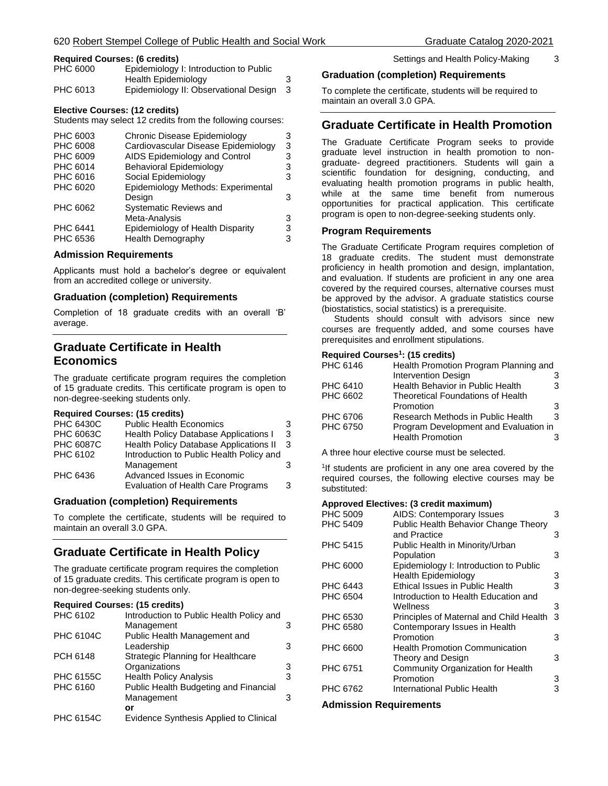#### **Required Courses: (6 credits)**

| PHC 6000 | Epidemiology I: Introduction to Public |   |
|----------|----------------------------------------|---|
|          | Health Epidemiology                    |   |
| PHC 6013 | Epidemiology II: Observational Design  | 3 |

#### **Elective Courses: (12 credits)**

Students may select 12 credits from the following courses:

| PHC 6003 | Chronic Disease Epidemiology        | 3 |
|----------|-------------------------------------|---|
| PHC 6008 | Cardiovascular Disease Epidemiology | 3 |
| PHC 6009 | AIDS Epidemiology and Control       | 3 |
| PHC 6014 | <b>Behavioral Epidemiology</b>      | 3 |
| PHC 6016 | Social Epidemiology                 | 3 |
| PHC 6020 | Epidemiology Methods: Experimental  |   |
|          | Design                              | 3 |
| PHC 6062 | <b>Systematic Reviews and</b>       |   |
|          | Meta-Analysis                       | 3 |
| PHC 6441 | Epidemiology of Health Disparity    | 3 |
| PHC 6536 | <b>Health Demography</b>            | 3 |
|          |                                     |   |

#### **Admission Requirements**

Applicants must hold a bachelor's degree or equivalent from an accredited college or university.

#### **Graduation (completion) Requirements**

Completion of 18 graduate credits with an overall 'B' average.

# **Graduate Certificate in Health Economics**

The graduate certificate program requires the completion of 15 graduate credits. This certificate program is open to non-degree-seeking students only.

#### **Required Courses: (15 credits)**

| <b>PHC 6430C</b> | <b>Public Health Economics</b>                | 3 |
|------------------|-----------------------------------------------|---|
| <b>PHC 6063C</b> | <b>Health Policy Database Applications I</b>  | 3 |
| <b>PHC 6087C</b> | <b>Health Policy Database Applications II</b> | 3 |
| PHC 6102         | Introduction to Public Health Policy and      |   |
|                  | Management                                    | 3 |
| PHC 6436         | Advanced Issues in Economic                   |   |
|                  | Evaluation of Health Care Programs            | 3 |
|                  |                                               |   |

#### **Graduation (completion) Requirements**

To complete the certificate, students will be required to maintain an overall 3.0 GPA.

### **Graduate Certificate in Health Policy**

The graduate certificate program requires the completion of 15 graduate credits. This certificate program is open to non-degree-seeking students only.

#### **Required Courses: (15 credits)**

| PHC 6102         | Introduction to Public Health Policy and |   |
|------------------|------------------------------------------|---|
|                  | Management                               | 3 |
| <b>PHC 6104C</b> | Public Health Management and             |   |
|                  | Leadership                               | 3 |
| PCH 6148         | Strategic Planning for Healthcare        |   |
|                  | Organizations                            | 3 |
| <b>PHC 6155C</b> | <b>Health Policy Analysis</b>            | 3 |
| PHC 6160         | Public Health Budgeting and Financial    |   |
|                  | Management                               | з |
|                  | or                                       |   |
| $PHC$ 6154 $C$   | Evidence Synthesis Annlied to Clinical   |   |

PHC 6154C Evidence Synthesis Applied to Clinical

### **Graduation (completion) Requirements**

To complete the certificate, students will be required to maintain an overall 3.0 GPA.

### **Graduate Certificate in Health Promotion**

The Graduate Certificate Program seeks to provide graduate level instruction in health promotion to nongraduate- degreed practitioners. Students will gain a scientific foundation for designing, conducting, and evaluating health promotion programs in public health, while at the same time benefit from numerous opportunities for practical application. This certificate program is open to non-degree-seeking students only.

#### **Program Requirements**

The Graduate Certificate Program requires completion of 18 graduate credits. The student must demonstrate proficiency in health promotion and design, implantation, and evaluation. If students are proficient in any one area covered by the required courses, alternative courses must be approved by the advisor. A graduate statistics course (biostatistics, social statistics) is a prerequisite.

 Students should consult with advisors since new courses are frequently added, and some courses have prerequisites and enrollment stipulations.

#### **Required Courses<sup>1</sup> : (15 credits)**

| PHC 6146 | Health Promotion Program Planning and |   |
|----------|---------------------------------------|---|
|          | <b>Intervention Design</b>            |   |
| PHC 6410 | Health Behavior in Public Health      | 3 |
| PHC 6602 | Theoretical Foundations of Health     |   |
|          | Promotion                             | 3 |
| PHC 6706 | Research Methods in Public Health     | 3 |
| PHC 6750 | Program Development and Evaluation in |   |
|          | <b>Health Promotion</b>               |   |
|          |                                       |   |

A three hour elective course must be selected.

<sup>1</sup>If students are proficient in any one area covered by the required courses, the following elective courses may be substituted:

#### **Approved Electives: (3 credit maximum)**

| PHC 5009        | AIDS: Contemporary Issues               | 3 |
|-----------------|-----------------------------------------|---|
| PHC 5409        | Public Health Behavior Change Theory    |   |
|                 | and Practice                            | З |
| <b>PHC 5415</b> | Public Health in Minority/Urban         |   |
|                 | Population                              | 3 |
| PHC 6000        | Epidemiology I: Introduction to Public  |   |
|                 | <b>Health Epidemiology</b>              | 3 |
| PHC 6443        | Ethical Issues in Public Health         | 3 |
| PHC 6504        | Introduction to Health Education and    |   |
|                 | Wellness                                | 3 |
| PHC 6530        | Principles of Maternal and Child Health | 3 |
| PHC 6580        | Contemporary Issues in Health           |   |
|                 | Promotion                               | 3 |
| PHC 6600        | <b>Health Promotion Communication</b>   |   |
|                 | Theory and Design                       | 3 |
| PHC 6751        | Community Organization for Health       |   |
|                 | Promotion                               | 3 |
| PHC 6762        | International Public Health             | 3 |
|                 |                                         |   |

#### **Admission Requirements**

Settings and Health Policy-Making 3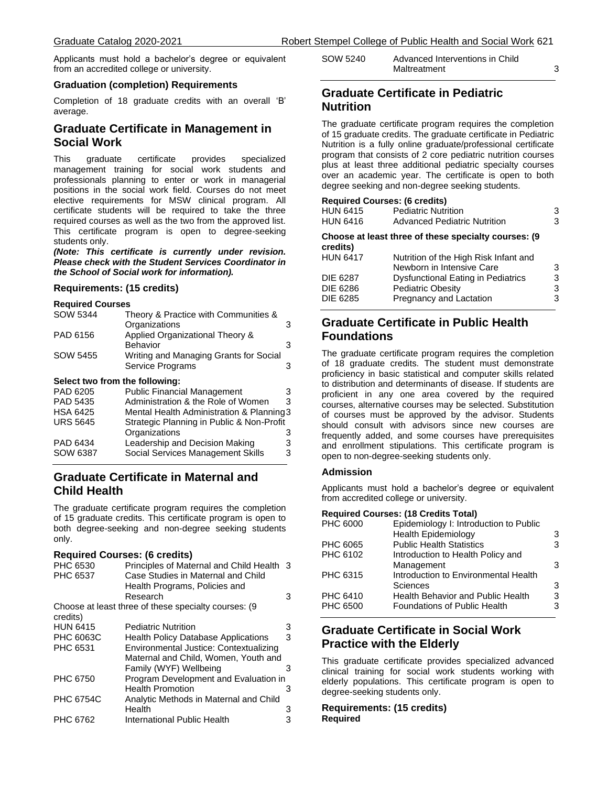Applicants must hold a bachelor's degree or equivalent from an accredited college or university.

#### **Graduation (completion) Requirements**

Completion of 18 graduate credits with an overall 'B' average.

## **Graduate Certificate in Management in Social Work**

This graduate certificate provides specialized management training for social work students and professionals planning to enter or work in managerial positions in the social work field. Courses do not meet elective requirements for MSW clinical program. All certificate students will be required to take the three required courses as well as the two from the approved list. This certificate program is open to degree-seeking students only.

*(Note: This certificate is currently under revision. Please check with the Student Services Coordinator in the School of Social work for information).*

### **Requirements: (15 credits)**

#### **Required Courses**

| SOW 5344                       | Theory & Practice with Communities &      |   |  |
|--------------------------------|-------------------------------------------|---|--|
|                                | Organizations                             | 3 |  |
| PAD 6156                       | Applied Organizational Theory &           |   |  |
|                                | Behavior                                  | 3 |  |
| SOW 5455                       | Writing and Managing Grants for Social    |   |  |
|                                | Service Programs                          | 3 |  |
| Select two from the following: |                                           |   |  |
| PAD 6205                       | <b>Public Financial Management</b>        |   |  |
| <b>PAD 5435</b>                | Administration & the Role of Women        | 3 |  |
| <b>HSA 6425</b>                | Mental Health Administration & Planning 3 |   |  |
| <b>URS 5645</b>                | Strategic Planning in Public & Non-Profit |   |  |
|                                | Organizations                             | З |  |
| PAD 6434                       | Leadership and Decision Making            | 3 |  |
| SOW 6387                       | Social Services Management Skills         | 3 |  |

### **Graduate Certificate in Maternal and Child Health**

The graduate certificate program requires the completion of 15 graduate credits. This certificate program is open to both degree-seeking and non-degree seeking students only.

#### **Required Courses: (6 credits)**

| PHC 6530         | Principles of Maternal and Child Health 3            |   |
|------------------|------------------------------------------------------|---|
| PHC 6537         | Case Studies in Maternal and Child                   |   |
|                  | Health Programs, Policies and                        |   |
|                  | Research                                             | 3 |
| credits)         | Choose at least three of these specialty courses: (9 |   |
| <b>HUN 6415</b>  | <b>Pediatric Nutrition</b>                           | 3 |
| <b>PHC 6063C</b> | <b>Health Policy Database Applications</b>           | 3 |
| PHC 6531         | Environmental Justice: Contextualizing               |   |
|                  | Maternal and Child, Women, Youth and                 |   |
|                  | Family (WYF) Wellbeing                               | з |
| PHC 6750         | Program Development and Evaluation in                |   |
|                  | <b>Health Promotion</b>                              | 3 |
| <b>PHC 6754C</b> | Analytic Methods in Maternal and Child               |   |
|                  | Health                                               | 3 |
| PHC 6762         | International Public Health                          |   |

| SOW 5240 | Advanced Interventions in Child |  |
|----------|---------------------------------|--|
|          | Maltreatment                    |  |

### **Graduate Certificate in Pediatric Nutrition**

The graduate certificate program requires the completion of 15 graduate credits. The graduate certificate in Pediatric Nutrition is a fully online graduate/professional certificate program that consists of 2 core pediatric nutrition courses plus at least three additional pediatric specialty courses over an academic year. The certificate is open to both degree seeking and non-degree seeking students.

#### **Required Courses: (6 credits)**

| <b>HUN 6415</b><br><b>HUN 6416</b> | <b>Pediatric Nutrition</b><br><b>Advanced Pediatric Nutrition</b>  | 3<br>3 |
|------------------------------------|--------------------------------------------------------------------|--------|
| credits)                           | Choose at least three of these specialty courses: (9)              |        |
| <b>HUN 6417</b>                    | Nutrition of the High Risk Infant and<br>Newborn in Intensive Care | 3      |
| <b>DIE 6287</b>                    | <b>Dysfunctional Eating in Pediatrics</b>                          | 3      |
| <b>DIE 6286</b>                    | <b>Pediatric Obesity</b>                                           | 3      |
| <b>DIE 6285</b>                    | Pregnancy and Lactation                                            | 3      |
|                                    |                                                                    |        |

# **Graduate Certificate in Public Health Foundations**

The graduate certificate program requires the completion of 18 graduate credits. The student must demonstrate proficiency in basic statistical and computer skills related to distribution and determinants of disease. If students are proficient in any one area covered by the required courses, alternative courses may be selected. Substitution of courses must be approved by the advisor. Students should consult with advisors since new courses are frequently added, and some courses have prerequisites and enrollment stipulations. This certificate program is open to non-degree-seeking students only.

#### **Admission**

Applicants must hold a bachelor's degree or equivalent from accredited college or university.

#### **Required Courses: (18 Credits Total)**

| PHC 6000 | Epidemiology I: Introduction to Public   |   |
|----------|------------------------------------------|---|
|          | <b>Health Epidemiology</b>               | 3 |
| PHC 6065 | <b>Public Health Statistics</b>          | 3 |
| PHC 6102 | Introduction to Health Policy and        |   |
|          | Management                               | 3 |
| PHC 6315 | Introduction to Environmental Health     |   |
|          | Sciences                                 | 3 |
| PHC 6410 | <b>Health Behavior and Public Health</b> | 3 |
| PHC 6500 | <b>Foundations of Public Health</b>      | 3 |
|          |                                          |   |

# **Graduate Certificate in Social Work Practice with the Elderly**

This graduate certificate provides specialized advanced clinical training for social work students working with elderly populations. This certificate program is open to degree-seeking students only.

#### **Requirements: (15 credits) Required**